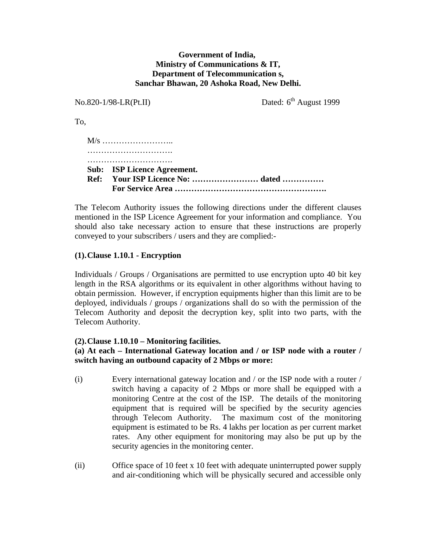### **Government of India, Ministry of Communications & IT, Department of Telecommunication s, Sanchar Bhawan, 20 Ashoka Road, New Delhi.**

No.820-1/98-LR(Pt.II) Dated: 6<sup>th</sup> August 1999 To, M/s …………………….. …………………………………… …………………………………… **Sub: ISP Licence Agreement. Ref: Your ISP Licence No: …………………… dated ……………** 

 **For Service Area ……………………………………………….** 

The Telecom Authority issues the following directions under the different clauses mentioned in the ISP Licence Agreement for your information and compliance. You should also take necessary action to ensure that these instructions are properly conveyed to your subscribers / users and they are complied:-

## **(1). Clause 1.10.1 - Encryption**

Individuals / Groups / Organisations are permitted to use encryption upto 40 bit key length in the RSA algorithms or its equivalent in other algorithms without having to obtain permission. However, if encryption equipments higher than this limit are to be deployed, individuals / groups / organizations shall do so with the permission of the Telecom Authority and deposit the decryption key, split into two parts, with the Telecom Authority.

### **(2). Clause 1.10.10 – Monitoring facilities.**

### **(a) At each – International Gateway location and / or ISP node with a router / switch having an outbound capacity of 2 Mbps or more:**

- (i) Every international gateway location and / or the ISP node with a router / switch having a capacity of 2 Mbps or more shall be equipped with a monitoring Centre at the cost of the ISP. The details of the monitoring equipment that is required will be specified by the security agencies through Telecom Authority. The maximum cost of the monitoring equipment is estimated to be Rs. 4 lakhs per location as per current market rates. Any other equipment for monitoring may also be put up by the security agencies in the monitoring center.
- (ii) Office space of 10 feet x 10 feet with adequate uninterrupted power supply and air-conditioning which will be physically secured and accessible only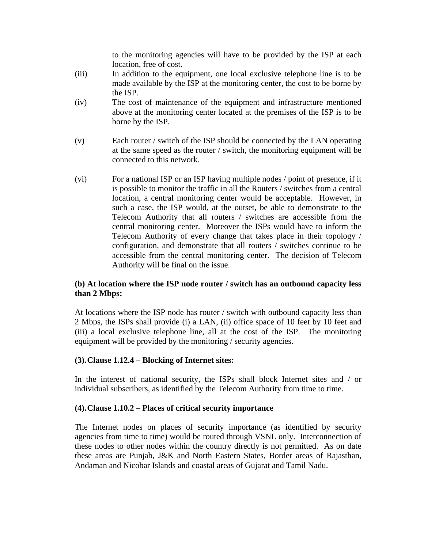to the monitoring agencies will have to be provided by the ISP at each location, free of cost.

- (iii) In addition to the equipment, one local exclusive telephone line is to be made available by the ISP at the monitoring center, the cost to be borne by the ISP.
- (iv) The cost of maintenance of the equipment and infrastructure mentioned above at the monitoring center located at the premises of the ISP is to be borne by the ISP.
- (v) Each router / switch of the ISP should be connected by the LAN operating at the same speed as the router / switch, the monitoring equipment will be connected to this network.
- (vi) For a national ISP or an ISP having multiple nodes / point of presence, if it is possible to monitor the traffic in all the Routers / switches from a central location, a central monitoring center would be acceptable. However, in such a case, the ISP would, at the outset, be able to demonstrate to the Telecom Authority that all routers / switches are accessible from the central monitoring center. Moreover the ISPs would have to inform the Telecom Authority of every change that takes place in their topology / configuration, and demonstrate that all routers / switches continue to be accessible from the central monitoring center. The decision of Telecom Authority will be final on the issue.

## **(b) At location where the ISP node router / switch has an outbound capacity less than 2 Mbps:**

At locations where the ISP node has router / switch with outbound capacity less than 2 Mbps, the ISPs shall provide (i) a LAN, (ii) office space of 10 feet by 10 feet and (iii) a local exclusive telephone line, all at the cost of the ISP. The monitoring equipment will be provided by the monitoring / security agencies.

### **(3). Clause 1.12.4 – Blocking of Internet sites:**

In the interest of national security, the ISPs shall block Internet sites and / or individual subscribers, as identified by the Telecom Authority from time to time.

### **(4). Clause 1.10.2 – Places of critical security importance**

The Internet nodes on places of security importance (as identified by security agencies from time to time) would be routed through VSNL only. Interconnection of these nodes to other nodes within the country directly is not permitted. As on date these areas are Punjab, J&K and North Eastern States, Border areas of Rajasthan, Andaman and Nicobar Islands and coastal areas of Gujarat and Tamil Nadu.